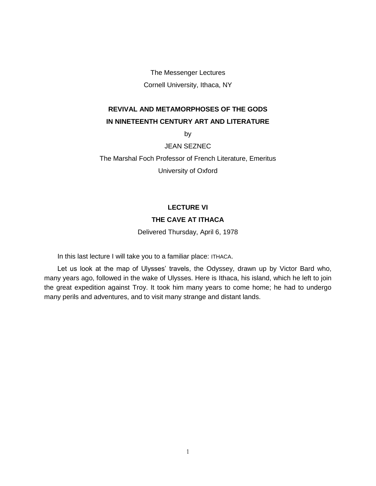The Messenger Lectures Cornell University, Ithaca, NY

## **REVIVAL AND METAMORPHOSES OF THE GODS IN NINETEENTH CENTURY ART AND LITERATURE**

by

JEAN SEZNEC

The Marshal Foch Professor of French Literature, Emeritus

University of Oxford

## **LECTURE VI THE CAVE AT ITHACA**

Delivered Thursday, April 6, 1978

In this last lecture I will take you to a familiar place: ITHACA.

Let us look at the map of Ulysses' travels, the Odyssey, drawn up by Victor Bard who, many years ago, followed in the wake of Ulysses. Here is Ithaca, his island, which he left to join the great expedition against Troy. It took him many years to come home; he had to undergo many perils and adventures, and to visit many strange and distant lands.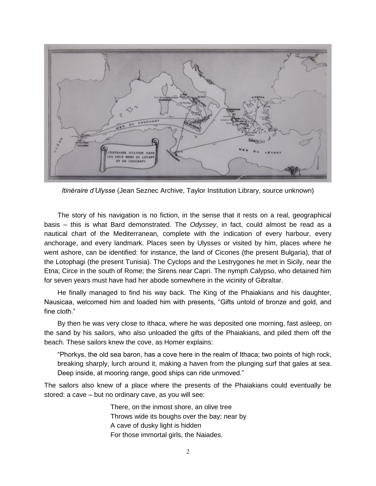

*Itinéraire d'Ulysse* (Jean Seznec Archive, Taylor Institution Library, source unknown)

The story of his navigation is no fiction, in the sense that it rests on a real, geographical basis – this is what Bard demonstrated. The *Odyssey*, in fact, could almost be read as a nautical chart of the Mediterranean, complete with the indication of every harbour, every anchorage, and every landmark. Places seen by Ulysses or visited by him, places where he went ashore, can be identified: for instance, the land of Cicones (the present Bulgaria), that of the Lotophagi (the present Tunisia). The Cyclops and the Lestrygones he met in Sicily, near the Etna; Circe in the south of Rome; the Sirens near Capri. The nymph Calypso, who detained him for seven years must have had her abode somewhere in the vicinity of Gibraltar.

He finally managed to find his way back. The King of the Phaiakians and his daughter, Nausicaa, welcomed him and loaded him with presents, "Gifts untold of bronze and gold, and fine cloth."

By then he was very close to Ithaca, where he was deposited one morning, fast asleep, on the sand by his sailors, who also unloaded the gifts of the Phaiakians, and piled them off the beach. These sailors knew the cove, as Homer explains:

"Phorkys, the old sea baron, has a cove here in the realm of Ithaca; two points of high rock, breaking sharply, lurch around it, making a haven from the plunging surf that gales at sea. Deep inside, at mooring range, good ships can ride unmoved."

The sailors also knew of a place where the presents of the Phaiakians could eventually be stored: a cave – but no ordinary cave, as you will see:

> There, on the inmost shore, an olive tree Throws wide its boughs over the bay; near by A cave of dusky light is hidden For those immortal girls, the Naiades.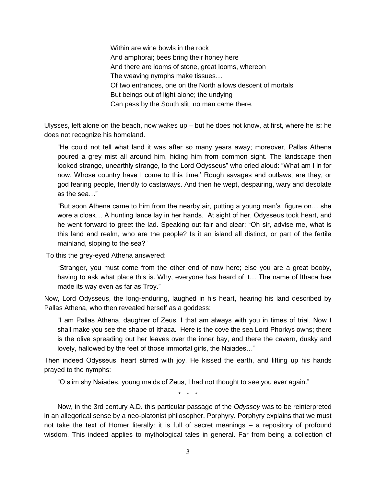Within are wine bowls in the rock And amphorai; bees bring their honey here And there are looms of stone, great looms, whereon The weaving nymphs make tissues… Of two entrances, one on the North allows descent of mortals But beings out of light alone; the undying Can pass by the South slit; no man came there.

Ulysses, left alone on the beach, now wakes up – but he does not know, at first, where he is: he does not recognize his homeland.

"He could not tell what land it was after so many years away; moreover, Pallas Athena poured a grey mist all around him, hiding him from common sight. The landscape then looked strange, unearthly strange, to the Lord Odysseus" who cried aloud: "What am I in for now. Whose country have I come to this time.' Rough savages and outlaws, are they, or god fearing people, friendly to castaways. And then he wept, despairing, wary and desolate as the sea…"

"But soon Athena came to him from the nearby air, putting a young man's figure on… she wore a cloak… A hunting lance lay in her hands. At sight of her, Odysseus took heart, and he went forward to greet the lad. Speaking out fair and clear: "Oh sir, advise me, what is this land and realm, who are the people? Is it an island all distinct, or part of the fertile mainland, sloping to the sea?"

To this the grey-eyed Athena answered:

"Stranger, you must come from the other end of now here; else you are a great booby, having to ask what place this is. Why, everyone has heard of it… The name of Ithaca has made its way even as far as Troy."

Now, Lord Odysseus, the long-enduring, laughed in his heart, hearing his land described by Pallas Athena, who then revealed herself as a goddess:

"I am Pallas Athena, daughter of Zeus, I that am always with you in times of trial. Now I shall make you see the shape of Ithaca. Here is the cove the sea Lord Phorkys owns; there is the olive spreading out her leaves over the inner bay, and there the cavern, dusky and lovely, hallowed by the feet of those immortal girls, the Naiades…"

Then indeed Odysseus' heart stirred with joy. He kissed the earth, and lifting up his hands prayed to the nymphs:

"O slim shy Naiades, young maids of Zeus, I had not thought to see you ever again."

\* \* \*

Now, in the 3rd century A.D. this particular passage of the *Odyssey* was to be reinterpreted in an allegorical sense by a neo-platonist philosopher, Porphyry. Porphyry explains that we must not take the text of Homer literally: it is full of secret meanings – a repository of profound wisdom. This indeed applies to mythological tales in general. Far from being a collection of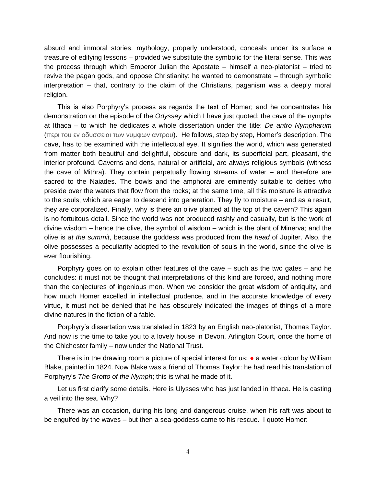absurd and immoral stories, mythology, properly understood, conceals under its surface a treasure of edifying lessons – provided we substitute the symbolic for the literal sense. This was the process through which Emperor Julian the Apostate – himself a neo-platonist – tried to revive the pagan gods, and oppose Christianity: he wanted to demonstrate – through symbolic interpretation – that, contrary to the claim of the Christians, paganism was a deeply moral religion.

This is also Porphyry's process as regards the text of Homer; and he concentrates his demonstration on the episode of the *Odyssey* which I have just quoted: the cave of the nymphs at Ithaca – to which he dedicates a whole dissertation under the title: *De antro Nympharum* (περι του εν οδυσσειαι των νυμφων αντρου). He follows, step by step, Homer's description. The cave, has to be examined with the intellectual eye. It signifies the world, which was generated from matter both beautiful and delightful, obscure and dark, its superficial part, pleasant, the interior profound. Caverns and dens, natural or artificial, are always religious symbols (witness the cave of Mithra). They contain perpetually flowing streams of water – and therefore are sacred to the Naiades. The bowls and the amphorai are eminently suitable to deities who preside over the waters that flow from the rocks; at the same time, all this moisture is attractive to the souls, which are eager to descend into generation. They fly to moisture – and as a result, they are corporalized. Finally, why is there an olive planted at the top of the cavern? This again is no fortuitous detail. Since the world was not produced rashly and casually, but is the work of divine wisdom – hence the olive, the symbol of wisdom – which is the plant of Minerva; and the olive is *at the summit*, because the goddess was produced from the *head* of Jupiter. Also, the olive possesses a peculiarity adopted to the revolution of souls in the world, since the olive is ever flourishing.

Porphyry goes on to explain other features of the cave – such as the two gates – and he concludes: it must not be thought that interpretations of this kind are forced, and nothing more than the conjectures of ingenious men. When we consider the great wisdom of antiquity, and how much Homer excelled in intellectual prudence, and in the accurate knowledge of every virtue, it must not be denied that he has obscurely indicated the images of things of a more divine natures in the fiction of a fable.

Porphyry's dissertation was translated in 1823 by an English neo-platonist, Thomas Taylor. And now is the time to take you to a lovely house in Devon, Arlington Court, once the home of the Chichester family – now under the National Trust.

There is in the drawing room a picture of special interest for us: ● a water colour by William Blake, painted in 1824. Now Blake was a friend of Thomas Taylor: he had read his translation of Porphyry's *The Grotto of the Nymph*; this is what he made of it.

Let us first clarify some details. Here is Ulysses who has just landed in Ithaca. He is casting a veil into the sea. Why?

There was an occasion, during his long and dangerous cruise, when his raft was about to be engulfed by the waves – but then a sea-goddess came to his rescue. I quote Homer: